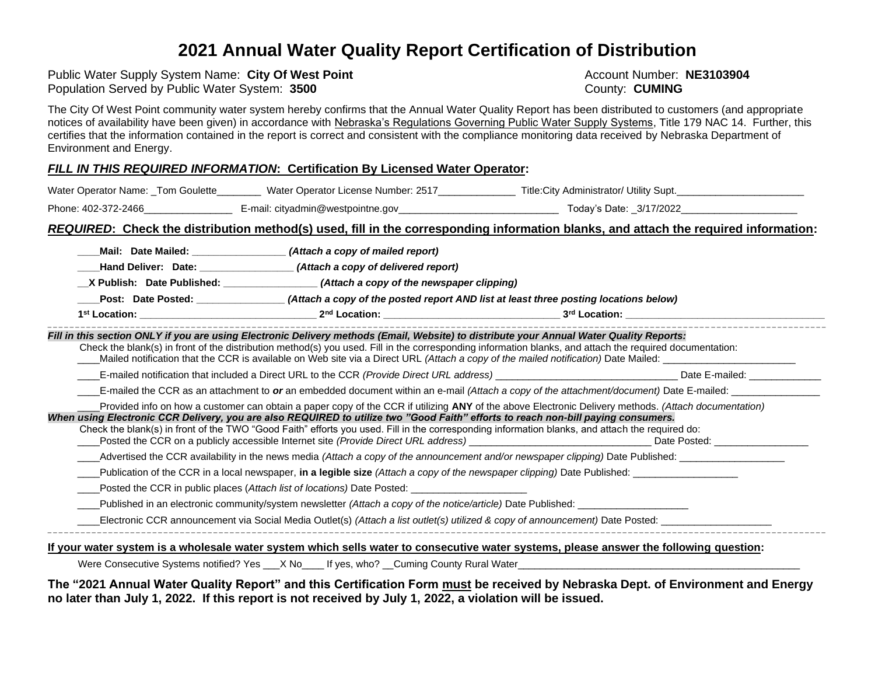# **2021 Annual Water Quality Report Certification of Distribution**

Public Water Supply System Name: City Of West Point<br>
Population Served by Public Water System: 3500<br> **Population Served by Public Water System: 3500** Population Served by Public Water System: 3500

The City Of West Point community water system hereby confirms that the Annual Water Quality Report has been distributed to customers (and appropriate notices of availability have been given) in accordance with Nebraska's Regulations Governing Public Water Supply Systems, Title 179 NAC 14. Further, this certifies that the information contained in the report is correct and consistent with the compliance monitoring data received by Nebraska Department of Environment and Energy.

### *FILL IN THIS REQUIRED INFORMATION***: Certification By Licensed Water Operator:**

| Water Operator Name: _Tom Goulette_ | Water Operator License Number: 2517 | Title: City Administrator/ Utility Supt. |
|-------------------------------------|-------------------------------------|------------------------------------------|
| Phone: 402-372-2466                 | E-mail: cityadmin@westpointne.gov   | Today's Date: 3/17/2022_                 |

### *REQUIRED***: Check the distribution method(s) used, fill in the corresponding information blanks, and attach the required information:**

| Hand Deliver: Date: ___________________(Attach a copy of delivered report)<br>X Publish: Date Published: _______________(Attach a copy of the newspaper clipping) |                                                                                                                                                                                                                                                                                                         |  |
|-------------------------------------------------------------------------------------------------------------------------------------------------------------------|---------------------------------------------------------------------------------------------------------------------------------------------------------------------------------------------------------------------------------------------------------------------------------------------------------|--|
|                                                                                                                                                                   | Post: Date Posted: ______________(Attach a copy of the posted report AND list at least three posting locations below)                                                                                                                                                                                   |  |
|                                                                                                                                                                   |                                                                                                                                                                                                                                                                                                         |  |
|                                                                                                                                                                   | Fill in this section ONLY if you are using Electronic Delivery methods (Email, Website) to distribute your Annual Water Quality Reports:<br>Check the blank(s) in front of the distribution method(s) you used. Fill in the corresponding information blanks, and attach the required documentation:    |  |
|                                                                                                                                                                   |                                                                                                                                                                                                                                                                                                         |  |
|                                                                                                                                                                   | E-mailed the CCR as an attachment to or an embedded document within an e-mail (Attach a copy of the attachment/document) Date E-mailed: ________________________                                                                                                                                        |  |
| When using Electronic CCR Delivery, you are also REQUIRED to utilize two "Good Faith" efforts to reach non-bill paying consumers.                                 | Provided info on how a customer can obtain a paper copy of the CCR if utilizing ANY of the above Electronic Delivery methods. (Attach documentation)<br>Check the blank(s) in front of the TWO "Good Faith" efforts you used. Fill in the corresponding information blanks, and attach the required do: |  |
|                                                                                                                                                                   | _Advertised the CCR availability in the news media (Attach a copy of the announcement and/or newspaper clipping) Date Published: ________________________________                                                                                                                                       |  |
|                                                                                                                                                                   |                                                                                                                                                                                                                                                                                                         |  |
| Posted the CCR in public places (Attach list of locations) Date Posted: ____________________________                                                              |                                                                                                                                                                                                                                                                                                         |  |
|                                                                                                                                                                   |                                                                                                                                                                                                                                                                                                         |  |
|                                                                                                                                                                   |                                                                                                                                                                                                                                                                                                         |  |

**The "2021 Annual Water Quality Report" and this Certification Form must be received by Nebraska Dept. of Environment and Energy no later than July 1, 2022. If this report is not received by July 1, 2022, a violation will be issued.**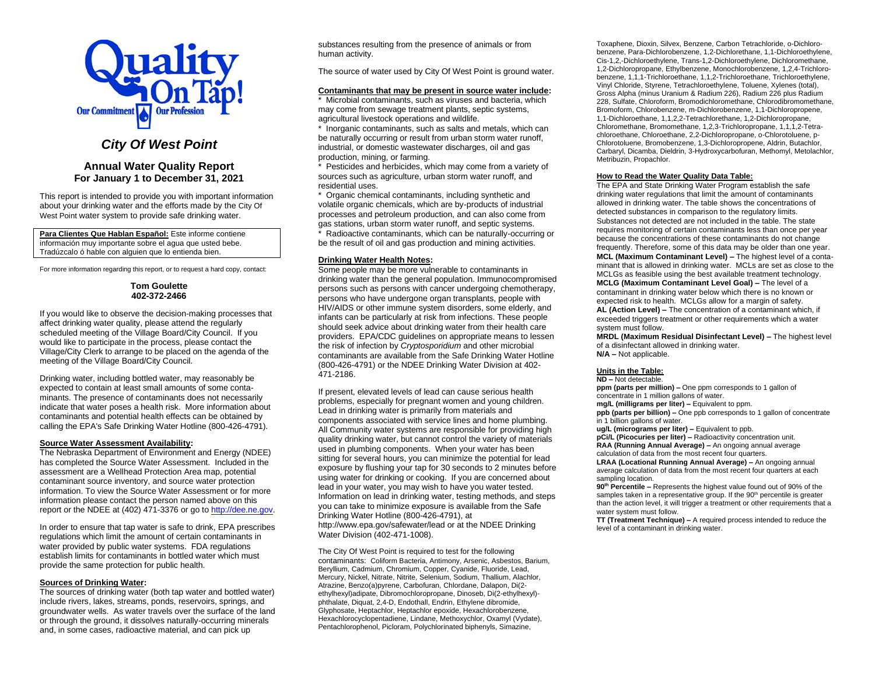

## *City Of West Point*

### **Annual Water Quality Report For January 1 to December 31, 2021**

This report is intended to provide you with important information about your drinking water and the efforts made by the City Of West Point water system to provide safe drinking water.

**Para Clientes Que Hablan Español:** Este informe contiene información muy importante sobre el agua que usted bebe. Tradúzcalo ó hable con alguien que lo entienda bien.

For more information regarding this report, or to request a hard copy, contact:

#### **Tom Goulette 402-372-2466**

If you would like to observe the decision-making processes that affect drinking water quality, please attend the regularly scheduled meeting of the Village Board/City Council. If you would like to participate in the process, please contact the Village/City Clerk to arrange to be placed on the agenda of the meeting of the Village Board/City Council.

Drinking water, including bottled water, may reasonably be expected to contain at least small amounts of some contaminants. The presence of contaminants does not necessarily indicate that water poses a health risk. More information about contaminants and potential health effects can be obtained by calling the EPA's Safe Drinking Water Hotline (800-426-4791).

#### **Source Water Assessment Availability:**

The Nebraska Department of Environment and Energy (NDEE) has completed the Source Water Assessment. Included in the assessment are a Wellhead Protection Area map, potential contaminant source inventory, and source water protection information. To view the Source Water Assessment or for more information please contact the person named above on this report or the NDEE at (402) 471-3376 or go t[o http://dee.ne.gov.](http://dee.ne.gov/)

In order to ensure that tap water is safe to drink, EPA prescribes regulations which limit the amount of certain contaminants in water provided by public water systems. FDA regulations establish limits for contaminants in bottled water which must provide the same protection for public health.

#### **Sources of Drinking Water:**

The sources of drinking water (both tap water and bottled water) include rivers, lakes, streams, ponds, reservoirs, springs, and groundwater wells. As water travels over the surface of the land or through the ground, it dissolves naturally-occurring minerals and, in some cases, radioactive material, and can pick up

substances resulting from the presence of animals or from human activity.

The source of water used by City Of West Point is ground water.

### **Contaminants that may be present in source water include:**

\* Microbial contaminants, such as viruses and bacteria, which may come from sewage treatment plants, septic systems, agricultural livestock operations and wildlife.

\* Inorganic contaminants, such as salts and metals, which can be naturally occurring or result from urban storm water runoff, industrial, or domestic wastewater discharges, oil and gas production, mining, or farming.

\* Pesticides and herbicides, which may come from a variety of sources such as agriculture, urban storm water runoff, and residential uses.

\* Organic chemical contaminants, including synthetic and volatile organic chemicals, which are by-products of industrial processes and petroleum production, and can also come from gas stations, urban storm water runoff, and septic systems.

Radioactive contaminants, which can be naturally-occurring or be the result of oil and gas production and mining activities.

#### **Drinking Water Health Notes:**

Some people may be more vulnerable to contaminants in drinking water than the general population. Immunocompromised persons such as persons with cancer undergoing chemotherapy, persons who have undergone organ transplants, people with HIV/AIDS or other immune system disorders, some elderly, and infants can be particularly at risk from infections. These people should seek advice about drinking water from their health care providers. EPA/CDC guidelines on appropriate means to lessen the risk of infection by *Cryptosporidium* and other microbial contaminants are available from the Safe Drinking Water Hotline (800-426-4791) or the NDEE Drinking Water Division at 402- 471-2186.

If present, elevated levels of lead can cause serious health problems, especially for pregnant women and young children. Lead in drinking water is primarily from materials and components associated with service lines and home plumbing. All Community water systems are responsible for providing high quality drinking water, but cannot control the variety of materials used in plumbing components. When your water has been sitting for several hours, you can minimize the potential for lead exposure by flushing your tap for 30 seconds to 2 minutes before using water for drinking or cooking. If you are concerned about lead in your water, you may wish to have you water tested. Information on lead in drinking water, testing methods, and steps you can take to minimize exposure is available from the Safe Drinking Water Hotline (800-426-4791), at http://www.epa.gov/safewater/lead or at the NDEE Drinking Water Division (402-471-1008).

The City Of West Point is required to test for the following contaminants: Coliform Bacteria, Antimony, Arsenic, Asbestos, Barium, Beryllium, Cadmium, Chromium, Copper, Cyanide, Fluoride, Lead, Mercury, Nickel, Nitrate, Nitrite, Selenium, Sodium, Thallium, Alachlor, Atrazine, Benzo(a)pyrene, Carbofuran, Chlordane, Dalapon, Di(2 ethylhexyl)adipate, Dibromochloropropane, Dinoseb, Di(2-ethylhexyl) phthalate, Diquat, 2,4-D, Endothall, Endrin, Ethylene dibromide, Glyphosate, Heptachlor, Heptachlor epoxide, Hexachlorobenzene, Hexachlorocyclopentadiene, Lindane, Methoxychlor, Oxamyl (Vydate), Pentachlorophenol, Picloram, Polychlorinated biphenyls, Simazine,

Toxaphene, Dioxin, Silvex, Benzene, Carbon Tetrachloride, o-Dichlorobenzene, Para-Dichlorobenzene, 1,2-Dichlorethane, 1,1-Dichloroethylene, Cis-1,2,-Dichloroethylene, Trans-1,2-Dichloroethylene, Dichloromethane, 1,2-Dichloropropane, Ethylbenzene, Monochlorobenzene, 1,2,4-Trichlorobenzene, 1,1,1-Trichloroethane, 1,1,2-Trichloroethane, Trichloroethylene, Vinyl Chloride, Styrene, Tetrachloroethylene, Toluene, Xylenes (total), Gross Alpha (minus Uranium & Radium 226), Radium 226 plus Radium 228, Sulfate, Chloroform, Bromodichloromethane, Chlorodibromomethane, Bromoform, Chlorobenzene, m-Dichlorobenzene, 1,1-Dichloropropene, 1,1-Dichloroethane, 1,1,2,2-Tetrachlorethane, 1,2-Dichloropropane, Chloromethane, Bromomethane, 1,2,3-Trichloropropane, 1,1,1,2-Tetrachloroethane, Chloroethane, 2,2-Dichloropropane, o-Chlorotoluene, p-Chlorotoluene, Bromobenzene, 1,3-Dichloropropene, Aldrin, Butachlor, Carbaryl, Dicamba, Dieldrin, 3-Hydroxycarbofuran, Methomyl, Metolachlor, Metribuzin, Propachlor.

#### **How to Read the Water Quality Data Table:**

The EPA and State Drinking Water Program establish the safe drinking water regulations that limit the amount of contaminants allowed in drinking water. The table shows the concentrations of detected substances in comparison to the regulatory limits. Substances not detected are not included in the table. The state requires monitoring of certain contaminants less than once per year because the concentrations of these contaminants do not change frequently. Therefore, some of this data may be older than one year. **MCL (Maximum Contaminant Level) –** The highest level of a contaminant that is allowed in drinking water. MCLs are set as close to the MCLGs as feasible using the best available treatment technology. **MCLG (Maximum Contaminant Level Goal) –** The level of a contaminant in drinking water below which there is no known or expected risk to health. MCLGs allow for a margin of safety. **AL (Action Level) –** The concentration of a contaminant which, if exceeded triggers treatment or other requirements which a water system must follow.

**MRDL (Maximum Residual Disinfectant Level) –** The highest level of a disinfectant allowed in drinking water. **N/A –** Not applicable.

### **Units in the Table:**

**ND –** Not detectable.

**ppm (parts per million) –** One ppm corresponds to 1 gallon of concentrate in 1 million gallons of water.

**mg/L (milligrams per liter) –** Equivalent to ppm.

**ppb (parts per billion) –** One ppb corresponds to 1 gallon of concentrate in 1 billion gallons of water.

**ug/L (micrograms per liter) –** Equivalent to ppb.

**pCi/L (Picocuries per liter) –** Radioactivity concentration unit. **RAA (Running Annual Average) –** An ongoing annual average

calculation of data from the most recent four quarters.

**LRAA (Locational Running Annual Average) –** An ongoing annual average calculation of data from the most recent four quarters at each sampling location.

**90th Percentile –** Represents the highest value found out of 90% of the samples taken in a representative group. If the  $90<sup>th</sup>$  percentile is greater than the action level, it will trigger a treatment or other requirements that a water system must follow.

**TT (Treatment Technique) –** A required process intended to reduce the level of a contaminant in drinking water.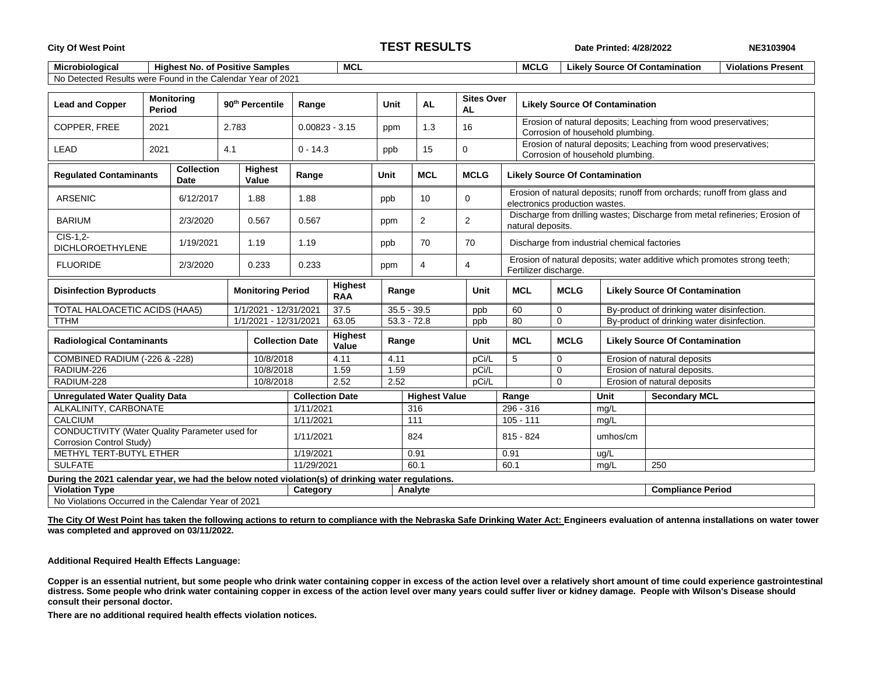### **City Of West Point TEST RESULTS Date Printed: 4/28/2022 NE3103904**

| <b>Microbiological</b>                                      |                      | <b>Highest No. of Positive Samples</b> | <b>MCL</b> |      |     |                         |  | <b>MCLG</b><br><b>Violations Present</b><br><b>Likely Source Of Contamination</b> |  |  |
|-------------------------------------------------------------|----------------------|----------------------------------------|------------|------|-----|-------------------------|--|-----------------------------------------------------------------------------------|--|--|
| No Detected Results were Found in the Calendar Year of 2021 |                      |                                        |            |      |     |                         |  |                                                                                   |  |  |
|                                                             |                      |                                        |            |      |     |                         |  |                                                                                   |  |  |
| <b>Lead and Copper</b>                                      | Monitorina<br>Period | 90 <sup>th</sup> Percentile            | Range      | Unit | AL. | <b>Sites Over</b><br>AL |  | <b>Likely Source Of Contamination</b>                                             |  |  |

| COPPER. FREE                                                                          | 2021                                                                                              | 2.783     |                        | $0.00823 - 3.15$                 |                                       | ppm           | 1.3            | 16                   |                                                                                                            | Erosion of natural deposits; Leaching from wood preservatives;<br>Corrosion of household plumbing. |                                              |                                       |                                                                          |  |
|---------------------------------------------------------------------------------------|---------------------------------------------------------------------------------------------------|-----------|------------------------|----------------------------------|---------------------------------------|---------------|----------------|----------------------|------------------------------------------------------------------------------------------------------------|----------------------------------------------------------------------------------------------------|----------------------------------------------|---------------------------------------|--------------------------------------------------------------------------|--|
| LEAD                                                                                  | 2021                                                                                              | 4.1       |                        | $0 - 14.3$                       |                                       | ppb           | 15             | 0                    |                                                                                                            | Erosion of natural deposits; Leaching from wood preservatives;<br>Corrosion of household plumbing. |                                              |                                       |                                                                          |  |
| <b>Collection</b><br><b>Highest</b><br><b>Regulated Contaminants</b><br>Value<br>Date |                                                                                                   |           | Range                  |                                  | Unit                                  | <b>MCL</b>    | <b>MCLG</b>    |                      | <b>Likely Source Of Contamination</b>                                                                      |                                                                                                    |                                              |                                       |                                                                          |  |
| <b>ARSENIC</b><br>6/12/2017<br>1.88                                                   |                                                                                                   |           | 1.88                   |                                  | ppb                                   | 10            | $\mathbf 0$    |                      | Erosion of natural deposits; runoff from orchards; runoff from glass and<br>electronics production wastes. |                                                                                                    |                                              |                                       |                                                                          |  |
| <b>BARIUM</b>                                                                         | 2/3/2020<br>0.567                                                                                 |           |                        | 0.567                            |                                       | ppm           | $\overline{2}$ | $\overline{2}$       |                                                                                                            | Discharge from drilling wastes; Discharge from metal refineries; Erosion of<br>natural deposits.   |                                              |                                       |                                                                          |  |
| $CIS-1.2$<br><b>DICHLOROETHYLENE</b>                                                  |                                                                                                   | 1/19/2021 |                        | 1.19                             | 1.19                                  |               | ppb            | 70                   |                                                                                                            |                                                                                                    | Discharge from industrial chemical factories |                                       |                                                                          |  |
| <b>FLUORIDE</b>                                                                       |                                                                                                   | 2/3/2020  |                        | 0.233                            | 0.233                                 |               | ppm            | 4                    | 4                                                                                                          |                                                                                                    | Fertilizer discharge.                        |                                       | Erosion of natural deposits; water additive which promotes strong teeth; |  |
| <b>Monitoring Period</b><br><b>Disinfection Byproducts</b>                            |                                                                                                   |           |                        |                                  | <b>Highest</b><br>Range<br><b>RAA</b> |               | Unit           |                      | <b>MCL</b>                                                                                                 | <b>MCLG</b>                                                                                        |                                              | <b>Likely Source Of Contamination</b> |                                                                          |  |
| TOTAL HALOACETIC ACIDS (HAA5)                                                         |                                                                                                   |           |                        | 1/1/2021 - 12/31/2021            |                                       | 37.5          | $35.5 - 39.5$  |                      | ppb                                                                                                        | 60                                                                                                 | 0                                            |                                       | By-product of drinking water disinfection.                               |  |
| <b>TTHM</b><br>1/1/2021 - 12/31/2021                                                  |                                                                                                   |           |                        | 63.05                            |                                       | $53.3 - 72.8$ | ppb            | 80                   | $\mathbf 0$<br>By-product of drinking water disinfection.                                                  |                                                                                                    |                                              |                                       |                                                                          |  |
| <b>Radiological Contaminants</b>                                                      |                                                                                                   |           | <b>Collection Date</b> | <b>Highest</b><br>Range<br>Value |                                       |               | Unit           | <b>MCL</b>           | <b>MCLG</b><br><b>Likely Source Of Contamination</b>                                                       |                                                                                                    |                                              |                                       |                                                                          |  |
| COMBINED RADIUM (-226 & -228)                                                         |                                                                                                   |           |                        | 10/8/2018                        |                                       | 4.11          | 4.11           |                      | pCi/L                                                                                                      | 5                                                                                                  | 0                                            |                                       | Erosion of natural deposits                                              |  |
| RADIUM-226                                                                            |                                                                                                   | 10/8/2018 |                        | 1.59<br>1.59                     |                                       |               | pCi/L          |                      | Erosion of natural deposits.<br>$\mathbf 0$                                                                |                                                                                                    |                                              |                                       |                                                                          |  |
| RADIUM-228                                                                            |                                                                                                   |           | 10/8/2018              | 2.52<br>2.52                     |                                       |               | pCi/L          |                      |                                                                                                            | $\mathbf 0$                                                                                        |                                              | Erosion of natural deposits           |                                                                          |  |
| <b>Unregulated Water Quality Data</b>                                                 |                                                                                                   |           |                        |                                  | <b>Collection Date</b>                |               |                | <b>Highest Value</b> |                                                                                                            | Range                                                                                              |                                              |                                       | <b>Secondary MCL</b>                                                     |  |
| ALKALINITY, CARBONATE                                                                 |                                                                                                   |           |                        |                                  | 1/11/2021                             |               |                | 316                  |                                                                                                            | 296 - 316                                                                                          |                                              |                                       |                                                                          |  |
| <b>CALCIUM</b>                                                                        |                                                                                                   |           |                        |                                  | 1/11/2021                             |               |                | 111                  |                                                                                                            | $105 - 111$                                                                                        |                                              |                                       |                                                                          |  |
| CONDUCTIVITY (Water Quality Parameter used for<br>Corrosion Control Study)            |                                                                                                   |           |                        |                                  | 1/11/2021                             |               |                | 824                  |                                                                                                            | $815 - 824$                                                                                        |                                              | umhos/cm                              |                                                                          |  |
| METHYL TERT-BUTYL ETHER                                                               |                                                                                                   |           |                        |                                  | 1/19/2021                             |               |                | 0.91                 |                                                                                                            | 0.91                                                                                               |                                              | ug/L                                  |                                                                          |  |
| <b>SULFATE</b>                                                                        |                                                                                                   |           |                        | 11/29/2021                       |                                       |               | 60.1           |                      | 60.1                                                                                                       | mg/L                                                                                               |                                              | 250                                   |                                                                          |  |
|                                                                                       | During the 2021 calendar year, we had the below noted violation(s) of drinking water regulations. |           |                        |                                  |                                       |               |                |                      |                                                                                                            |                                                                                                    |                                              |                                       |                                                                          |  |
| <b>Violation Type</b>                                                                 |                                                                                                   |           |                        |                                  | Category                              |               |                | Analyte              |                                                                                                            |                                                                                                    |                                              |                                       | <b>Compliance Period</b>                                                 |  |

No Violations Occurred in the Calendar Year of 2021

**The City Of West Point has taken the following actions to return to compliance with the Nebraska Safe Drinking Water Act: Engineers evaluation of antenna installations on water tower was completed and approved on 03/11/2022.**

**Additional Required Health Effects Language:**

**Copper is an essential nutrient, but some people who drink water containing copper in excess of the action level over a relatively short amount of time could experience gastrointestinal distress. Some people who drink water containing copper in excess of the action level over many years could suffer liver or kidney damage. People with Wilson's Disease should consult their personal doctor.**

**There are no additional required health effects violation notices.**